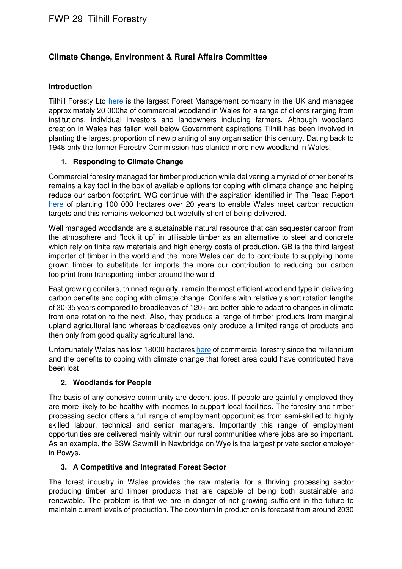# **Climate Change, Environment & Rural Affairs Committee**

#### **Introduction**

Tilhill Foresty Ltd here is the largest Forest Management company in the UK and manages approximately 20 000ha of commercial woodland in Wales for a range of clients ranging from institutions, individual investors and landowners including farmers. Although woodland creation in Wales has fallen well below Government aspirations Tilhill has been involved in planting the largest proportion of new planting of any organisation this century. Dating back to 1948 only the former Forestry Commission has planted more new woodland in Wales.

#### **1. Responding to Climate Change**

Commercial forestry managed for timber production while delivering a myriad of other benefits remains a key tool in the box of available options for coping with climate change and helping reduce our carbon footprint. WG continue with the aspiration identified in The Read Report here of planting 100 000 hectares over 20 years to enable Wales meet carbon reduction targets and this remains welcomed but woefully short of being delivered.

Well managed woodlands are a sustainable natural resource that can sequester carbon from the atmosphere and "lock it up" in utilisable timber as an alternative to steel and concrete which rely on finite raw materials and high energy costs of production. GB is the third largest importer of timber in the world and the more Wales can do to contribute to supplying home grown timber to substitute for imports the more our contribution to reducing our carbon footprint from transporting timber around the world.

Fast growing conifers, thinned regularly, remain the most efficient woodland type in delivering carbon benefits and coping with climate change. Conifers with relatively short rotation lengths of 30-35 years compared to broadleaves of 120+ are better able to adapt to changes in climate from one rotation to the next. Also, they produce a range of timber products from marginal upland agricultural land whereas broadleaves only produce a limited range of products and then only from good quality agricultural land.

Unfortunately Wales has lost 18000 hectares here of commercial forestry since the millennium and the benefits to coping with climate change that forest area could have contributed have been lost

#### **2. Woodlands for People**

The basis of any cohesive community are decent jobs. If people are gainfully employed they are more likely to be healthy with incomes to support local facilities. The forestry and timber processing sector offers a full range of employment opportunities from semi-skilled to highly skilled labour, technical and senior managers. Importantly this range of employment opportunities are delivered mainly within our rural communities where jobs are so important. As an example, the BSW Sawmill in Newbridge on Wye is the largest private sector employer in Powys.

## **3. A Competitive and Integrated Forest Sector**

The forest industry in Wales provides the raw material for a thriving processing sector producing timber and timber products that are capable of being both sustainable and renewable. The problem is that we are in danger of not growing sufficient in the future to maintain current levels of production. The downturn in production is forecast from around 2030